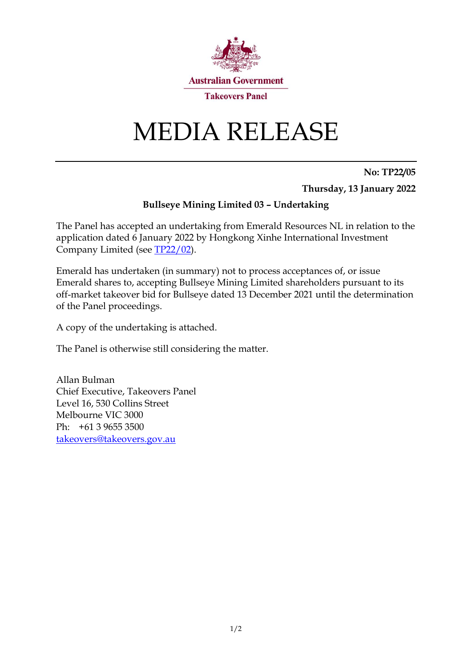

# MEDIA RELEASE

**No: TP22/05 Thursday, 13 January 2022**

#### **Bullseye Mining Limited 03 – Undertaking**

The Panel has accepted an undertaking from Emerald Resources NL in relation to the application dated 6 January 2022 by Hongkong Xinhe International Investment Company Limited (see [TP22/02\)](https://www.takeovers.gov.au/content/DisplayDoc.aspx?doc=media_releases/2022/002.htm&pageID=&Year=).

Emerald has undertaken (in summary) not to process acceptances of, or issue Emerald shares to, accepting Bullseye Mining Limited shareholders pursuant to its off-market takeover bid for Bullseye dated 13 December 2021 until the determination of the Panel proceedings.

A copy of the undertaking is attached.

The Panel is otherwise still considering the matter.

Allan Bulman Chief Executive, Takeovers Panel Level 16, 530 Collins Street Melbourne VIC 3000 Ph: +61 3 9655 3500 [takeovers@takeovers.gov.au](mailto:takeovers@takeovers.gov.au)